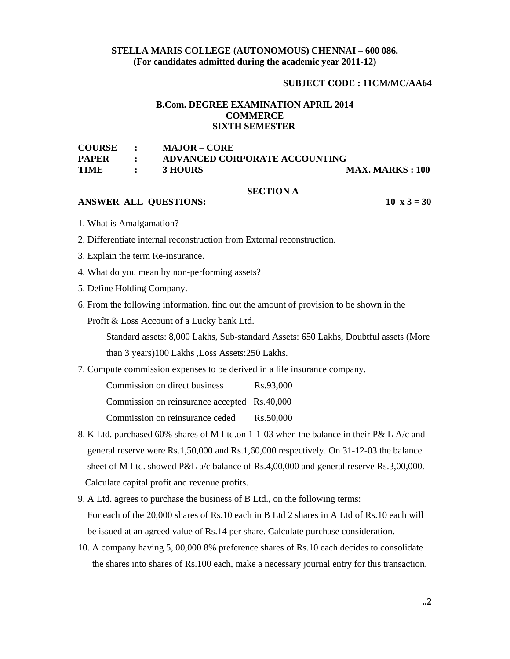# **STELLA MARIS COLLEGE (AUTONOMOUS) CHENNAI – 600 086. (For candidates admitted during the academic year 2011-12)**

### **SUBJECT CODE : 11CM/MC/AA64**

### **B.Com. DEGREE EXAMINATION APRIL 2014 COMMERCE SIXTH SEMESTER**

| <b>COURSE</b> | $\bullet$    | <b>MAJOR – CORE</b>           |                         |
|---------------|--------------|-------------------------------|-------------------------|
| <b>PAPER</b>  |              | ADVANCED CORPORATE ACCOUNTING |                         |
| <b>TIME</b>   | $\mathbf{r}$ | 3 HOURS                       | <b>MAX. MARKS : 100</b> |

### **SECTION A**

# **ANSWER ALL QUESTIONS:** 10 x 3 = 30

- 1. What is Amalgamation?
- 2. Differentiate internal reconstruction from External reconstruction.
- 3. Explain the term Re-insurance.
- 4. What do you mean by non-performing assets?
- 5. Define Holding Company.
- 6. From the following information, find out the amount of provision to be shown in the

Profit & Loss Account of a Lucky bank Ltd.

 Standard assets: 8,000 Lakhs, Sub-standard Assets: 650 Lakhs, Doubtful assets (More than 3 years)100 Lakhs ,Loss Assets:250 Lakhs.

7. Compute commission expenses to be derived in a life insurance company.

Commission on direct business Rs.93,000

Commission on reinsurance accepted Rs.40,000

Commission on reinsurance ceded Rs.50,000

- 8. K Ltd. purchased 60% shares of M Ltd.on 1-1-03 when the balance in their P& L A/c and general reserve were Rs.1,50,000 and Rs.1,60,000 respectively. On 31-12-03 the balance sheet of M Ltd. showed P&L a/c balance of Rs.4,00,000 and general reserve Rs.3,00,000. Calculate capital profit and revenue profits.
- 9. A Ltd. agrees to purchase the business of B Ltd., on the following terms: For each of the 20,000 shares of Rs.10 each in B Ltd 2 shares in A Ltd of Rs.10 each will be issued at an agreed value of Rs.14 per share. Calculate purchase consideration.
- 10. A company having 5, 00,000 8% preference shares of Rs.10 each decides to consolidate the shares into shares of Rs.100 each, make a necessary journal entry for this transaction.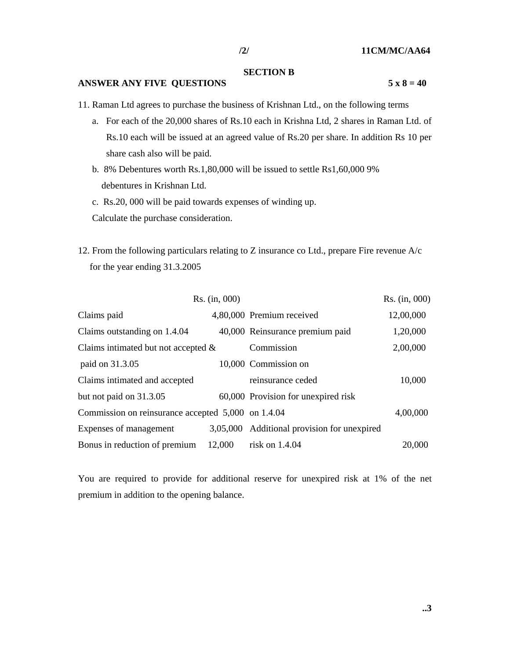## **SECTION B**

## **ANSWER ANY FIVE QUESTIONS** 5 x 8 = 40

- 11. Raman Ltd agrees to purchase the business of Krishnan Ltd., on the following terms
	- a. For each of the 20,000 shares of Rs.10 each in Krishna Ltd, 2 shares in Raman Ltd. of Rs.10 each will be issued at an agreed value of Rs.20 per share. In addition Rs 10 per share cash also will be paid.
	- b. 8% Debentures worth Rs.1,80,000 will be issued to settle Rs1,60,000 9% debentures in Krishnan Ltd.
	- c. Rs.20, 000 will be paid towards expenses of winding up.

Calculate the purchase consideration.

12. From the following particulars relating to Z insurance co Ltd., prepare Fire revenue A/c for the year ending 31.3.2005

|                                                    | Rs. (in, 000) |                                             | Rs. (in, 000) |
|----------------------------------------------------|---------------|---------------------------------------------|---------------|
| Claims paid                                        |               | 4,80,000 Premium received                   | 12,00,000     |
| Claims outstanding on 1.4.04                       |               | 40,000 Reinsurance premium paid             | 1,20,000      |
| Claims intimated but not accepted $\&$             |               | Commission                                  | 2,00,000      |
| paid on 31.3.05                                    |               | 10,000 Commission on                        |               |
| Claims intimated and accepted                      |               | reinsurance ceded                           | 10,000        |
| but not paid on 31.3.05                            |               | 60,000 Provision for unexpired risk         |               |
| Commission on reinsurance accepted 5,000 on 1.4.04 |               |                                             | 4,00,000      |
| Expenses of management                             |               | 3,05,000 Additional provision for unexpired |               |
| Bonus in reduction of premium                      | 12,000        | risk on $1.4.04$                            | 20,000        |

You are required to provide for additional reserve for unexpired risk at 1% of the net premium in addition to the opening balance.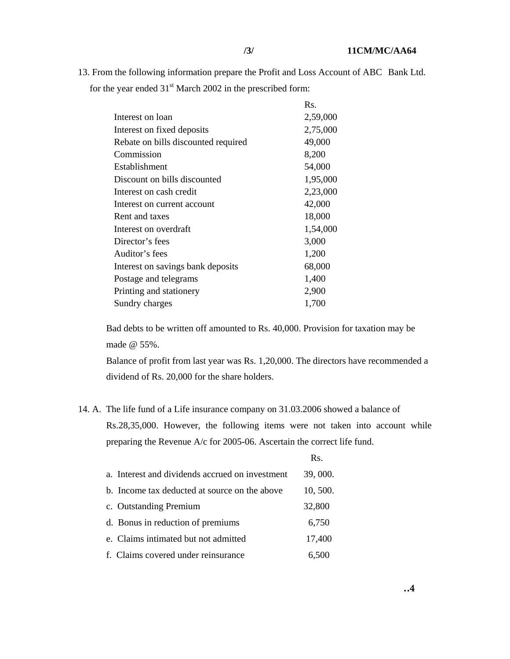13. From the following information prepare the Profit and Loss Account of ABC Bank Ltd. for the year ended  $31<sup>st</sup>$  March 2002 in the prescribed form:

|                                     | Rs.      |
|-------------------------------------|----------|
| Interest on loan                    | 2,59,000 |
| Interest on fixed deposits          | 2,75,000 |
| Rebate on bills discounted required | 49,000   |
| Commission                          | 8,200    |
| Establishment                       | 54,000   |
| Discount on bills discounted        | 1,95,000 |
| Interest on cash credit             | 2,23,000 |
| Interest on current account         | 42,000   |
| Rent and taxes                      | 18,000   |
| Interest on overdraft               | 1,54,000 |
| Director's fees                     | 3,000    |
| Auditor's fees                      | 1,200    |
| Interest on savings bank deposits   | 68,000   |
| Postage and telegrams               | 1,400    |
| Printing and stationery             | 2,900    |
| Sundry charges                      | 1,700    |

 Bad debts to be written off amounted to Rs. 40,000. Provision for taxation may be made @ 55%.

 Balance of profit from last year was Rs. 1,20,000. The directors have recommended a dividend of Rs. 20,000 for the share holders.

14. A. The life fund of a Life insurance company on 31.03.2006 showed a balance of Rs.28,35,000. However, the following items were not taken into account while preparing the Revenue A/c for 2005-06. Ascertain the correct life fund.

| a. Interest and dividends accrued on investment | 39, 000. |
|-------------------------------------------------|----------|
| b. Income tax deducted at source on the above   | 10, 500. |
| c. Outstanding Premium                          | 32,800   |
| d. Bonus in reduction of premiums               | 6,750    |
| e. Claims intimated but not admitted            | 17,400   |
| f. Claims covered under reinsurance             | 6,500    |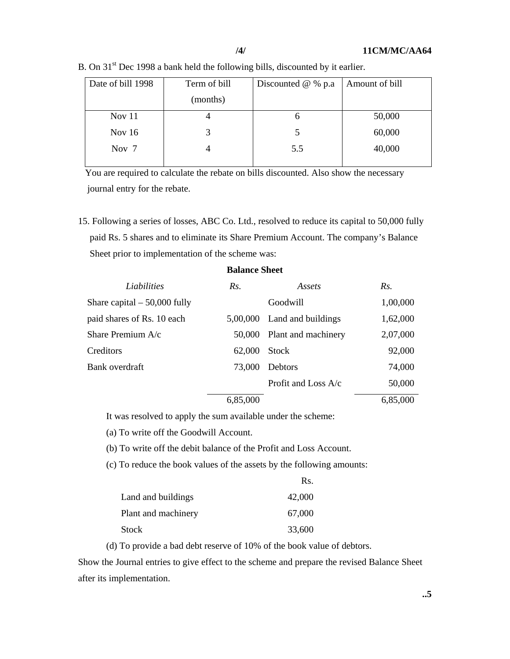| Date of bill 1998 | Term of bill | Discounted $@$ % p.a | Amount of bill |
|-------------------|--------------|----------------------|----------------|
|                   | (months)     |                      |                |
| Nov $11$          | 4            | O                    | 50,000         |
| Nov $16$          | 3            | 5                    | 60,000         |
| Nov 7             |              | 5.5                  | 40,000         |
|                   |              |                      |                |

B. On 31<sup>st</sup> Dec 1998 a bank held the following bills, discounted by it earlier.

 You are required to calculate the rebate on bills discounted. Also show the necessary journal entry for the rebate.

15. Following a series of losses, ABC Co. Ltd., resolved to reduce its capital to 50,000 fully paid Rs. 5 shares and to eliminate its Share Premium Account. The company's Balance Sheet prior to implementation of the scheme was:

| Liabilities                   | Rs.      | Assets                      | Rs.      |
|-------------------------------|----------|-----------------------------|----------|
| Share capital $-50,000$ fully |          | Goodwill                    | 1,00,000 |
| paid shares of Rs. 10 each    |          | 5,00,000 Land and buildings | 1,62,000 |
| Share Premium A/c             | 50,000   | Plant and machinery         | 2,07,000 |
| Creditors                     | 62,000   | <b>Stock</b>                | 92,000   |
| Bank overdraft                | 73,000   | Debtors                     | 74,000   |
|                               |          | Profit and Loss $A/c$       | 50,000   |
|                               | 6,85,000 |                             | 6,85,000 |

### **Balance Sheet**

It was resolved to apply the sum available under the scheme:

(a) To write off the Goodwill Account.

(b) To write off the debit balance of the Profit and Loss Account.

(c) To reduce the book values of the assets by the following amounts:

|                     | Rs.    |
|---------------------|--------|
| Land and buildings  | 42,000 |
| Plant and machinery | 67,000 |
| <b>Stock</b>        | 33,600 |

(d) To provide a bad debt reserve of 10% of the book value of debtors.

Show the Journal entries to give effect to the scheme and prepare the revised Balance Sheet after its implementation.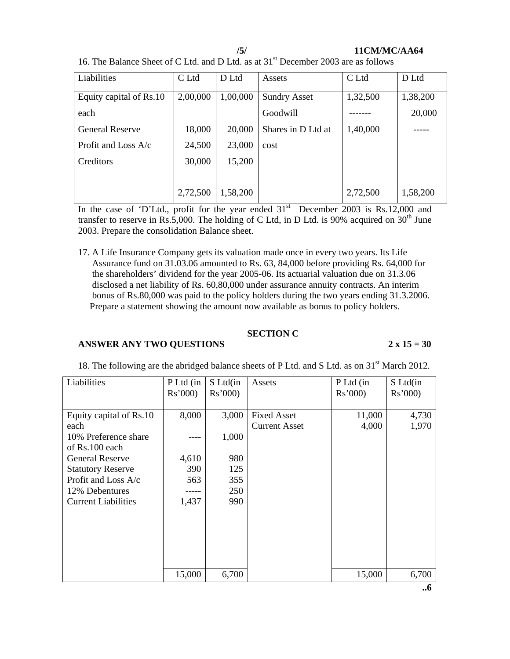### **/5/ 11CM/MC/AA64**

16. The Balance Sheet of C Ltd. and D Ltd. as at  $31<sup>st</sup>$  December 2003 are as follows

| Liabilities             | C Ltd    | D Ltd    | Assets              | C Ltd    | D Ltd    |
|-------------------------|----------|----------|---------------------|----------|----------|
| Equity capital of Rs.10 | 2,00,000 | 1,00,000 | <b>Sundry Asset</b> | 1,32,500 | 1,38,200 |
| each                    |          |          | Goodwill            |          | 20,000   |
| <b>General Reserve</b>  | 18,000   | 20,000   | Shares in D Ltd at  | 1,40,000 |          |
| Profit and Loss $A/c$   | 24,500   | 23,000   | cost                |          |          |
| Creditors               | 30,000   | 15,200   |                     |          |          |
|                         |          |          |                     |          |          |
|                         | 2,72,500 | 1,58,200 |                     | 2,72,500 | 1,58,200 |

In the case of 'D'Ltd., profit for the year ended  $31<sup>st</sup>$  December 2003 is Rs.12,000 and transfer to reserve in Rs.5,000. The holding of C Ltd, in D Ltd. is 90% acquired on  $30<sup>th</sup>$  June 2003. Prepare the consolidation Balance sheet.

17. A Life Insurance Company gets its valuation made once in every two years. Its Life Assurance fund on 31.03.06 amounted to Rs. 63, 84,000 before providing Rs. 64,000 for the shareholders' dividend for the year 2005-06. Its actuarial valuation due on 31.3.06 disclosed a net liability of Rs. 60,80,000 under assurance annuity contracts. An interim bonus of Rs.80,000 was paid to the policy holders during the two years ending 31.3.2006. Prepare a statement showing the amount now available as bonus to policy holders.

# **SECTION C**

# **ANSWER ANY TWO QUESTIONS 2 x 15 = 30**

| Liabilities                | P Ltd (in<br>Rs'000 | S Ltd(in<br>Rs'000 | Assets               | P Ltd (in<br>Rs'000 | S Ltd(in<br>Rs'000 |
|----------------------------|---------------------|--------------------|----------------------|---------------------|--------------------|
|                            |                     |                    |                      |                     |                    |
| Equity capital of Rs.10    | 8,000               | 3,000              | <b>Fixed Asset</b>   | 11,000              | 4,730              |
| each                       |                     |                    | <b>Current Asset</b> | 4,000               | 1,970              |
| 10% Preference share       |                     | 1,000              |                      |                     |                    |
| of Rs.100 each             |                     |                    |                      |                     |                    |
| <b>General Reserve</b>     | 4,610               | 980                |                      |                     |                    |
| <b>Statutory Reserve</b>   | 390                 | 125                |                      |                     |                    |
| Profit and Loss A/c        | 563                 | 355                |                      |                     |                    |
| 12% Debentures             |                     | 250                |                      |                     |                    |
| <b>Current Liabilities</b> | 1,437               | 990                |                      |                     |                    |
|                            |                     |                    |                      |                     |                    |
|                            |                     |                    |                      |                     |                    |
|                            |                     |                    |                      |                     |                    |
|                            |                     |                    |                      |                     |                    |
|                            |                     |                    |                      |                     |                    |
|                            | 15,000              | 6,700              |                      | 15,000              | 6,700              |

18. The following are the abridged balance sheets of P Ltd. and S Ltd. as on 31<sup>st</sup> March 2012.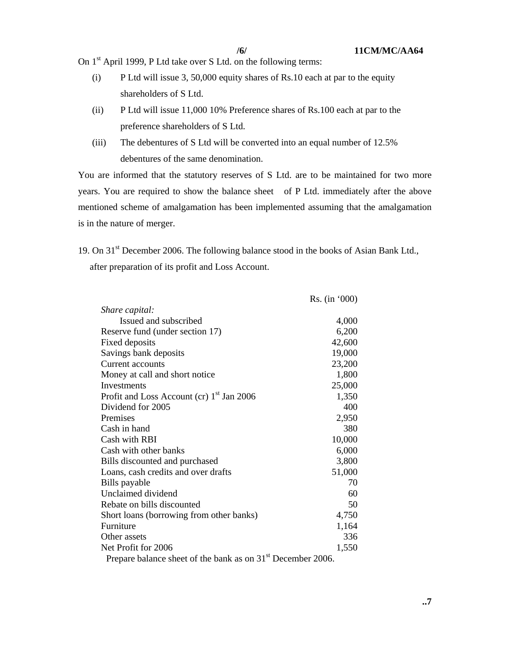On 1<sup>st</sup> April 1999, P Ltd take over S Ltd. on the following terms:

- (i) P Ltd will issue 3, 50,000 equity shares of Rs.10 each at par to the equity shareholders of S Ltd.
- (ii) P Ltd will issue 11,000 10% Preference shares of Rs.100 each at par to the preference shareholders of S Ltd.
- (iii) The debentures of S Ltd will be converted into an equal number of 12.5% debentures of the same denomination.

You are informed that the statutory reserves of S Ltd. are to be maintained for two more years. You are required to show the balance sheet of P Ltd. immediately after the above mentioned scheme of amalgamation has been implemented assuming that the amalgamation is in the nature of merger.

19. On 31<sup>st</sup> December 2006. The following balance stood in the books of Asian Bank Ltd., after preparation of its profit and Loss Account.

|                                                                         | Rs. (in '000) |
|-------------------------------------------------------------------------|---------------|
| Share capital:                                                          |               |
| Issued and subscribed                                                   | 4,000         |
| Reserve fund (under section 17)                                         | 6,200         |
| Fixed deposits                                                          | 42,600        |
| Savings bank deposits                                                   | 19,000        |
| Current accounts                                                        | 23,200        |
| Money at call and short notice                                          | 1,800         |
| Investments                                                             | 25,000        |
| Profit and Loss Account (cr) 1 <sup>st</sup> Jan 2006                   | 1,350         |
| Dividend for 2005                                                       | 400           |
| Premises                                                                | 2,950         |
| Cash in hand                                                            | 380           |
| Cash with RBI                                                           | 10,000        |
| Cash with other banks                                                   | 6,000         |
| Bills discounted and purchased                                          | 3,800         |
| Loans, cash credits and over drafts                                     | 51,000        |
| Bills payable                                                           | 70            |
| Unclaimed dividend                                                      | 60            |
| Rebate on bills discounted                                              | 50            |
| Short loans (borrowing from other banks)                                | 4,750         |
| Furniture                                                               | 1,164         |
| Other assets                                                            | 336           |
| Net Profit for 2006                                                     | 1,550         |
| Prepare balance sheet of the bank as on 31 <sup>st</sup> December 2006. |               |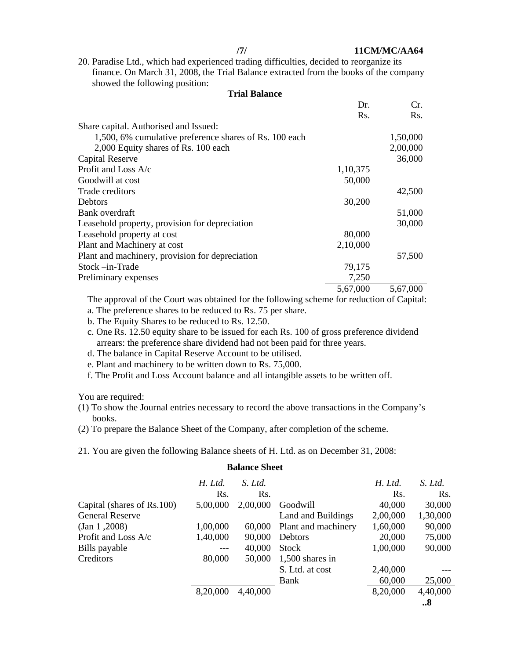20. Paradise Ltd., which had experienced trading difficulties, decided to reorganize its finance. On March 31, 2008, the Trial Balance extracted from the books of the company showed the following position:

**Trial Balance** 

|                                                        | Dr.      | Cr.      |
|--------------------------------------------------------|----------|----------|
|                                                        | Rs.      | Rs.      |
| Share capital. Authorised and Issued:                  |          |          |
| 1,500, 6% cumulative preference shares of Rs. 100 each |          | 1,50,000 |
| 2,000 Equity shares of Rs. 100 each                    |          | 2,00,000 |
| <b>Capital Reserve</b>                                 |          | 36,000   |
| Profit and Loss $A/c$                                  | 1,10,375 |          |
| Goodwill at cost                                       | 50,000   |          |
| Trade creditors                                        |          | 42,500   |
| <b>Debtors</b>                                         | 30,200   |          |
| Bank overdraft                                         |          | 51,000   |
| Leasehold property, provision for depreciation         |          | 30,000   |
| Leasehold property at cost                             | 80,000   |          |
| Plant and Machinery at cost                            | 2,10,000 |          |
| Plant and machinery, provision for depreciation        |          | 57,500   |
| Stock –in-Trade                                        | 79,175   |          |
| Preliminary expenses                                   | 7,250    |          |
|                                                        | 5,67,000 | 5,67,000 |

 The approval of the Court was obtained for the following scheme for reduction of Capital: a. The preference shares to be reduced to Rs. 75 per share.

- b. The Equity Shares to be reduced to Rs. 12.50.
- c. One Rs. 12.50 equity share to be issued for each Rs. 100 of gross preference dividend arrears: the preference share dividend had not been paid for three years.
- d. The balance in Capital Reserve Account to be utilised.
- e. Plant and machinery to be written down to Rs. 75,000.
- f. The Profit and Loss Account balance and all intangible assets to be written off.

You are required:

- (1) To show the Journal entries necessary to record the above transactions in the Company's books.
- (2) To prepare the Balance Sheet of the Company, after completion of the scheme.
- 21. You are given the following Balance sheets of H. Ltd. as on December 31, 2008:

### **Balance Sheet**

|                            |          |          | S. Ltd. at cost     | 2,40,000<br>60,000 | 25,000   |
|----------------------------|----------|----------|---------------------|--------------------|----------|
| Creditors                  | 80,000   | 50,000   | $1,500$ shares in   |                    |          |
| Bills payable              |          | 40,000   | <b>Stock</b>        | 1,00,000           | 90,000   |
| Profit and Loss A/c        | 1,40,000 | 90,000   | Debtors             | 20,000             | 75,000   |
| (Jan 1, 2008)              | 1,00,000 | 60,000   | Plant and machinery | 1,60,000           | 90,000   |
| <b>General Reserve</b>     |          |          | Land and Buildings  | 2,00,000           | 1,30,000 |
| Capital (shares of Rs.100) | 5,00,000 | 2,00,000 | Goodwill            | 40,000             | 30,000   |
|                            | Rs.      | Rs.      |                     | Rs.                | Rs.      |
|                            | H. Ltd.  | S. Ltd.  |                     | H. Ltd.            | S. Ltd.  |
|                            |          |          |                     |                    |          |